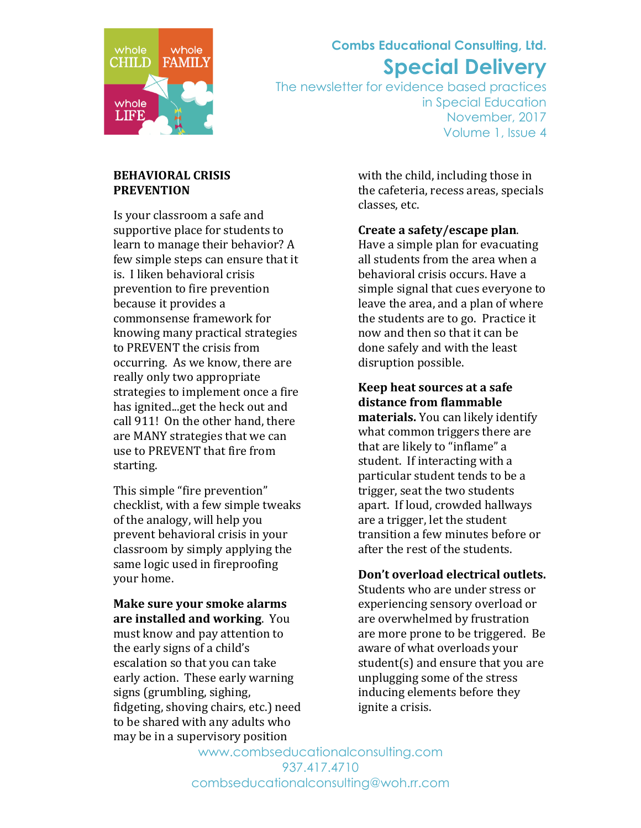

## **Combs Educational Consulting, Ltd. Special Delivery**

The newsletter for evidence based practices in Special Education November, 2017 Volume 1, Issue 4

### **BEHAVIORAL CRISIS PREVENTION**

Is your classroom a safe and supportive place for students to learn to manage their behavior? A few simple steps can ensure that it is. I liken behavioral crisis prevention to fire prevention because it provides a commonsense framework for knowing many practical strategies to PREVENT the crisis from occurring. As we know, there are really only two appropriate strategies to implement once a fire has ignited...get the heck out and call 911! On the other hand, there are MANY strategies that we can use to PREVENT that fire from starting.

This simple "fire prevention" checklist, with a few simple tweaks of the analogy, will help you prevent behavioral crisis in your classroom by simply applying the same logic used in fireproofing vour home.

**Make sure your smoke alarms are installed and working.** You must know and pay attention to the early signs of a child's escalation so that you can take early action. These early warning signs (grumbling, sighing, fidgeting, shoving chairs, etc.) need to be shared with any adults who may be in a supervisory position

with the child, including those in the cafeteria, recess areas, specials classes, etc.

**Create a safety/escape plan.** 

Have a simple plan for evacuating all students from the area when a behavioral crisis occurs. Have a simple signal that cues everyone to leave the area, and a plan of where the students are to go. Practice it now and then so that it can be done safely and with the least disruption possible.

**Keep heat sources at a safe** distance from flammable **materials.** You can likely identify what common triggers there are that are likely to "inflame" a student. If interacting with a particular student tends to be a trigger, seat the two students apart. If loud, crowded hallways are a trigger, let the student transition a few minutes before or after the rest of the students.

### Don't overload electrical outlets.

Students who are under stress or experiencing sensory overload or are overwhelmed by frustration are more prone to be triggered. Be aware of what overloads your student(s) and ensure that you are unplugging some of the stress inducing elements before they ignite a crisis.

www.combseducationalconsulting.com 937.417.4710 combseducationalconsulting@woh.rr.com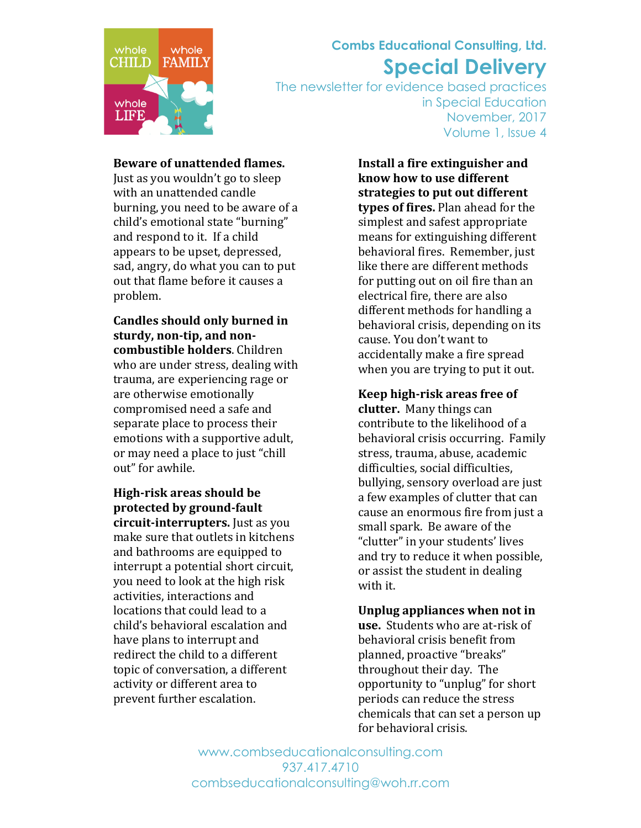

# **Combs Educational Consulting, Ltd. Special Delivery**

The newsletter for evidence based practices in Special Education November, 2017 Volume 1, Issue 4

#### **Beware of unattended flames.**

Just as you wouldn't go to sleep with an unattended candle burning, you need to be aware of a child's emotional state "burning" and respond to it. If a child appears to be upset, depressed, sad, angry, do what you can to put out that flame before it causes a problem.

**Candles should only burned in** sturdy, non-tip, and non**combustible holders**. Children who are under stress, dealing with trauma, are experiencing rage or are otherwise emotionally compromised need a safe and separate place to process their emotions with a supportive adult, or may need a place to just "chill" out" for awhile.

**High-risk areas should be** protected by ground-fault **circuit-interrupters.** Just as you make sure that outlets in kitchens and bathrooms are equipped to interrupt a potential short circuit, you need to look at the high risk activities, interactions and locations that could lead to a child's behavioral escalation and have plans to interrupt and redirect the child to a different topic of conversation, a different activity or different area to prevent further escalation.

**Install a fire extinguisher and know how to use different** strategies to put out different **types of fires.** Plan ahead for the simplest and safest appropriate means for extinguishing different behavioral fires. Remember, just like there are different methods for putting out on oil fire than an electrical fire, there are also different methods for handling a behavioral crisis, depending on its cause. You don't want to accidentally make a fire spread when you are trying to put it out.

**Keep high-risk areas free of clutter.** Many things can contribute to the likelihood of a behavioral crisis occurring. Family stress, trauma, abuse, academic difficulties, social difficulties. bullying, sensory overload are just a few examples of clutter that can cause an enormous fire from just a small spark. Be aware of the "clutter" in your students' lives and try to reduce it when possible, or assist the student in dealing with it.

**Unplug appliances when not in use.** Students who are at-risk of behavioral crisis benefit from planned, proactive "breaks" throughout their day. The opportunity to "unplug" for short periods can reduce the stress chemicals that can set a person up for behavioral crisis.

www.combseducationalconsulting.com 937.417.4710 combseducationalconsulting@woh.rr.com